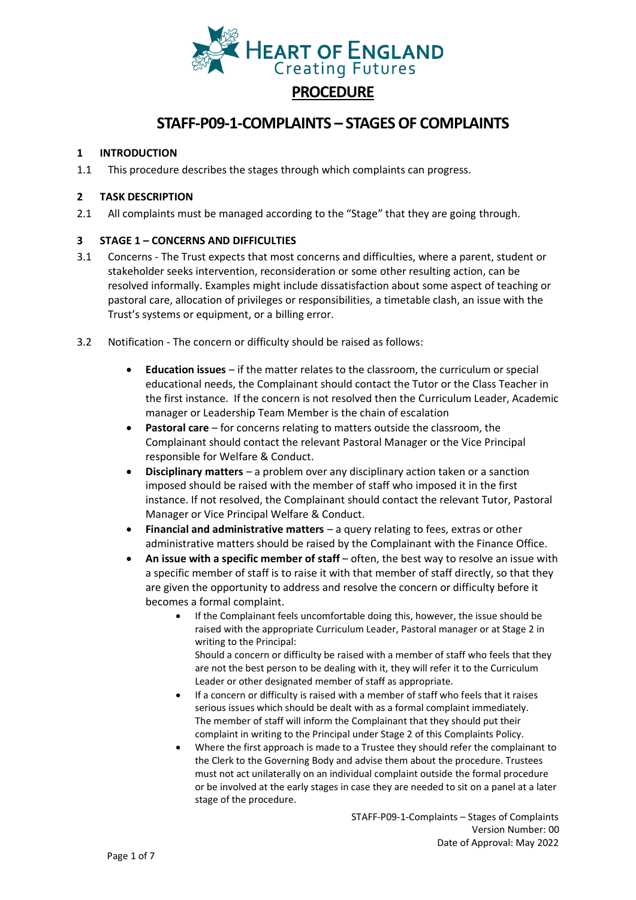

# **PROCEDURE**

# **STAFF-P09-1-COMPLAINTS – STAGES OF COMPLAINTS**

## **1 INTRODUCTION**

1.1 This procedure describes the stages through which complaints can progress.

## **2 TASK DESCRIPTION**

2.1 All complaints must be managed according to the "Stage" that they are going through.

## **3 STAGE 1 – CONCERNS AND DIFFICULTIES**

- 3.1 Concerns The Trust expects that most concerns and difficulties, where a parent, student or stakeholder seeks intervention, reconsideration or some other resulting action, can be resolved informally. Examples might include dissatisfaction about some aspect of teaching or pastoral care, allocation of privileges or responsibilities, a timetable clash, an issue with the Trust's systems or equipment, or a billing error.
- 3.2 Notification The concern or difficulty should be raised as follows:
	- **Education issues**  if the matter relates to the classroom, the curriculum or special educational needs, the Complainant should contact the Tutor or the Class Teacher in the first instance. If the concern is not resolved then the Curriculum Leader, Academic manager or Leadership Team Member is the chain of escalation
	- **Pastoral care**  for concerns relating to matters outside the classroom, the Complainant should contact the relevant Pastoral Manager or the Vice Principal responsible for Welfare & Conduct.
	- **Disciplinary matters**  a problem over any disciplinary action taken or a sanction imposed should be raised with the member of staff who imposed it in the first instance. If not resolved, the Complainant should contact the relevant Tutor, Pastoral Manager or Vice Principal Welfare & Conduct.
	- **Financial and administrative matters**  a query relating to fees, extras or other administrative matters should be raised by the Complainant with the Finance Office.
	- **An issue with a specific member of staff**  often, the best way to resolve an issue with a specific member of staff is to raise it with that member of staff directly, so that they are given the opportunity to address and resolve the concern or difficulty before it becomes a formal complaint.
		- If the Complainant feels uncomfortable doing this, however, the issue should be raised with the appropriate Curriculum Leader, Pastoral manager or at Stage 2 in writing to the Principal:

Should a concern or difficulty be raised with a member of staff who feels that they are not the best person to be dealing with it, they will refer it to the Curriculum Leader or other designated member of staff as appropriate.

- If a concern or difficulty is raised with a member of staff who feels that it raises serious issues which should be dealt with as a formal complaint immediately. The member of staff will inform the Complainant that they should put their complaint in writing to the Principal under Stage 2 of this Complaints Policy.
- Where the first approach is made to a Trustee they should refer the complainant to the Clerk to the Governing Body and advise them about the procedure. Trustees must not act unilaterally on an individual complaint outside the formal procedure or be involved at the early stages in case they are needed to sit on a panel at a later stage of the procedure.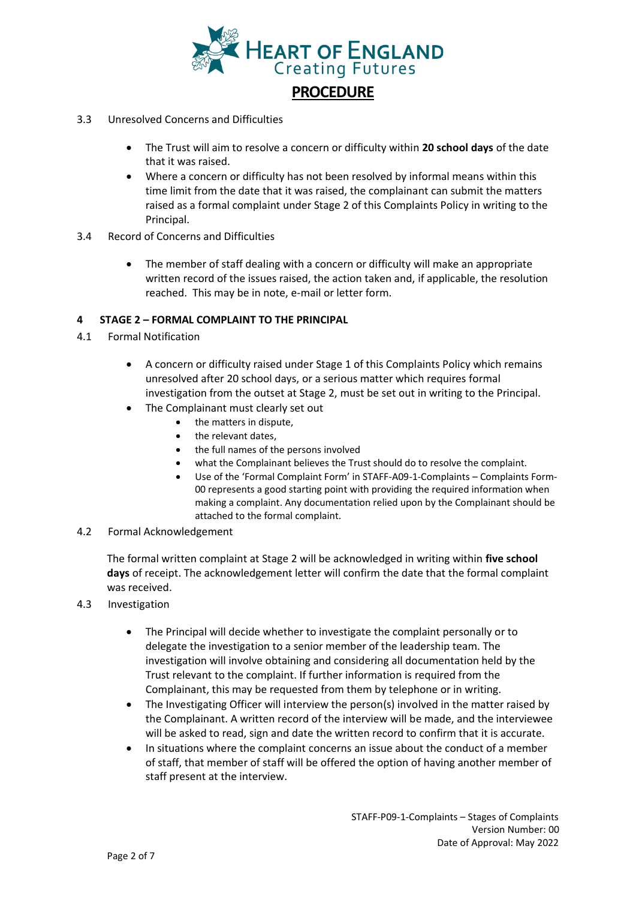

- 3.3 Unresolved Concerns and Difficulties
	- The Trust will aim to resolve a concern or difficulty within **20 school days** of the date that it was raised.
	- Where a concern or difficulty has not been resolved by informal means within this time limit from the date that it was raised, the complainant can submit the matters raised as a formal complaint under Stage 2 of this Complaints Policy in writing to the Principal.
- 3.4 Record of Concerns and Difficulties
	- The member of staff dealing with a concern or difficulty will make an appropriate written record of the issues raised, the action taken and, if applicable, the resolution reached. This may be in note, e-mail or letter form.

#### **4 STAGE 2 – FORMAL COMPLAINT TO THE PRINCIPAL**

- 4.1 Formal Notification
	- A concern or difficulty raised under Stage 1 of this Complaints Policy which remains unresolved after 20 school days, or a serious matter which requires formal investigation from the outset at Stage 2, must be set out in writing to the Principal.
	- The Complainant must clearly set out
		- the matters in dispute,
		- the relevant dates,
		- the full names of the persons involved
		- what the Complainant believes the Trust should do to resolve the complaint.
		- Use of the 'Formal Complaint Form' in STAFF-A09-1-Complaints Complaints Form-00 represents a good starting point with providing the required information when making a complaint. Any documentation relied upon by the Complainant should be attached to the formal complaint.
- 4.2 Formal Acknowledgement

The formal written complaint at Stage 2 will be acknowledged in writing within **five school days** of receipt. The acknowledgement letter will confirm the date that the formal complaint was received.

- 4.3 Investigation
	- The Principal will decide whether to investigate the complaint personally or to delegate the investigation to a senior member of the leadership team. The investigation will involve obtaining and considering all documentation held by the Trust relevant to the complaint. If further information is required from the Complainant, this may be requested from them by telephone or in writing.
	- The Investigating Officer will interview the person(s) involved in the matter raised by the Complainant. A written record of the interview will be made, and the interviewee will be asked to read, sign and date the written record to confirm that it is accurate.
	- In situations where the complaint concerns an issue about the conduct of a member of staff, that member of staff will be offered the option of having another member of staff present at the interview.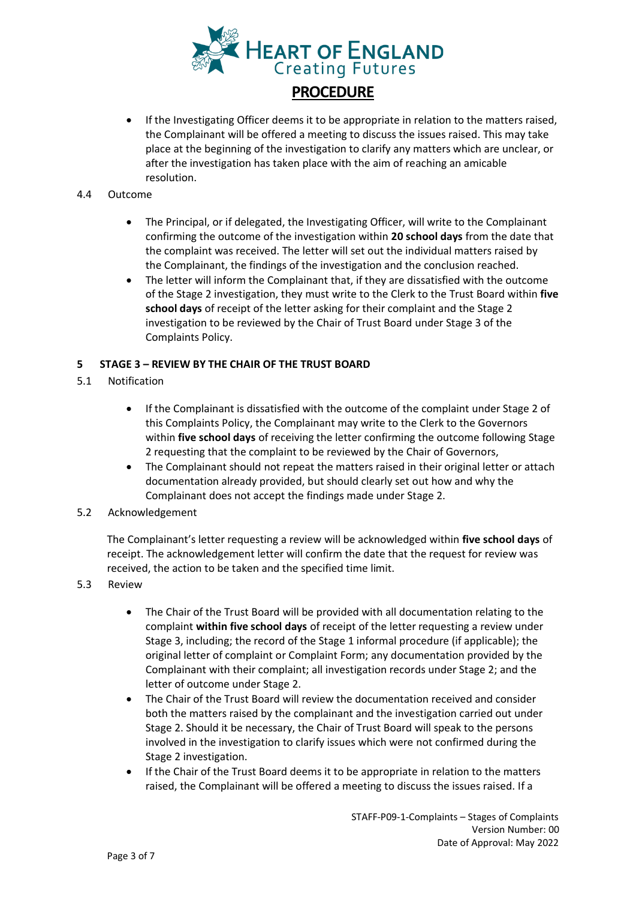

• If the Investigating Officer deems it to be appropriate in relation to the matters raised, the Complainant will be offered a meeting to discuss the issues raised. This may take place at the beginning of the investigation to clarify any matters which are unclear, or after the investigation has taken place with the aim of reaching an amicable resolution.

#### 4.4 Outcome

- The Principal, or if delegated, the Investigating Officer, will write to the Complainant confirming the outcome of the investigation within **20 school days** from the date that the complaint was received. The letter will set out the individual matters raised by the Complainant, the findings of the investigation and the conclusion reached.
- The letter will inform the Complainant that, if they are dissatisfied with the outcome of the Stage 2 investigation, they must write to the Clerk to the Trust Board within **five school days** of receipt of the letter asking for their complaint and the Stage 2 investigation to be reviewed by the Chair of Trust Board under Stage 3 of the Complaints Policy.

## **5 STAGE 3 – REVIEW BY THE CHAIR OF THE TRUST BOARD**

- 5.1 Notification
	- If the Complainant is dissatisfied with the outcome of the complaint under Stage 2 of this Complaints Policy, the Complainant may write to the Clerk to the Governors within **five school days** of receiving the letter confirming the outcome following Stage 2 requesting that the complaint to be reviewed by the Chair of Governors,
	- The Complainant should not repeat the matters raised in their original letter or attach documentation already provided, but should clearly set out how and why the Complainant does not accept the findings made under Stage 2.
- 5.2 Acknowledgement

The Complainant's letter requesting a review will be acknowledged within **five school days** of receipt. The acknowledgement letter will confirm the date that the request for review was received, the action to be taken and the specified time limit.

- 5.3 Review
	- The Chair of the Trust Board will be provided with all documentation relating to the complaint **within five school days** of receipt of the letter requesting a review under Stage 3, including; the record of the Stage 1 informal procedure (if applicable); the original letter of complaint or Complaint Form; any documentation provided by the Complainant with their complaint; all investigation records under Stage 2; and the letter of outcome under Stage 2.
	- The Chair of the Trust Board will review the documentation received and consider both the matters raised by the complainant and the investigation carried out under Stage 2. Should it be necessary, the Chair of Trust Board will speak to the persons involved in the investigation to clarify issues which were not confirmed during the Stage 2 investigation.
	- If the Chair of the Trust Board deems it to be appropriate in relation to the matters raised, the Complainant will be offered a meeting to discuss the issues raised. If a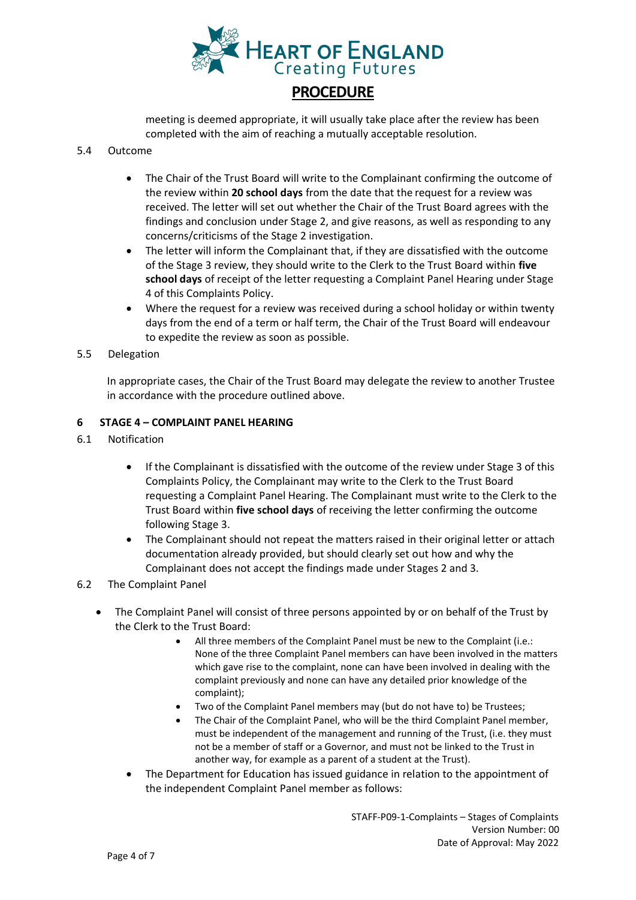

meeting is deemed appropriate, it will usually take place after the review has been completed with the aim of reaching a mutually acceptable resolution.

### 5.4 Outcome

- The Chair of the Trust Board will write to the Complainant confirming the outcome of the review within **20 school days** from the date that the request for a review was received. The letter will set out whether the Chair of the Trust Board agrees with the findings and conclusion under Stage 2, and give reasons, as well as responding to any concerns/criticisms of the Stage 2 investigation.
- The letter will inform the Complainant that, if they are dissatisfied with the outcome of the Stage 3 review, they should write to the Clerk to the Trust Board within **five school days** of receipt of the letter requesting a Complaint Panel Hearing under Stage 4 of this Complaints Policy.
- Where the request for a review was received during a school holiday or within twenty days from the end of a term or half term, the Chair of the Trust Board will endeavour to expedite the review as soon as possible.
- 5.5 Delegation

In appropriate cases, the Chair of the Trust Board may delegate the review to another Trustee in accordance with the procedure outlined above.

## **6 STAGE 4 – COMPLAINT PANEL HEARING**

- 6.1 Notification
	- If the Complainant is dissatisfied with the outcome of the review under Stage 3 of this Complaints Policy, the Complainant may write to the Clerk to the Trust Board requesting a Complaint Panel Hearing. The Complainant must write to the Clerk to the Trust Board within **five school days** of receiving the letter confirming the outcome following Stage 3.
	- The Complainant should not repeat the matters raised in their original letter or attach documentation already provided, but should clearly set out how and why the Complainant does not accept the findings made under Stages 2 and 3.

## 6.2 The Complaint Panel

- The Complaint Panel will consist of three persons appointed by or on behalf of the Trust by the Clerk to the Trust Board:
	- All three members of the Complaint Panel must be new to the Complaint (i.e.: None of the three Complaint Panel members can have been involved in the matters which gave rise to the complaint, none can have been involved in dealing with the complaint previously and none can have any detailed prior knowledge of the complaint);
	- Two of the Complaint Panel members may (but do not have to) be Trustees;
	- The Chair of the Complaint Panel, who will be the third Complaint Panel member, must be independent of the management and running of the Trust, (i.e. they must not be a member of staff or a Governor, and must not be linked to the Trust in another way, for example as a parent of a student at the Trust).
	- The Department for Education has issued guidance in relation to the appointment of the independent Complaint Panel member as follows: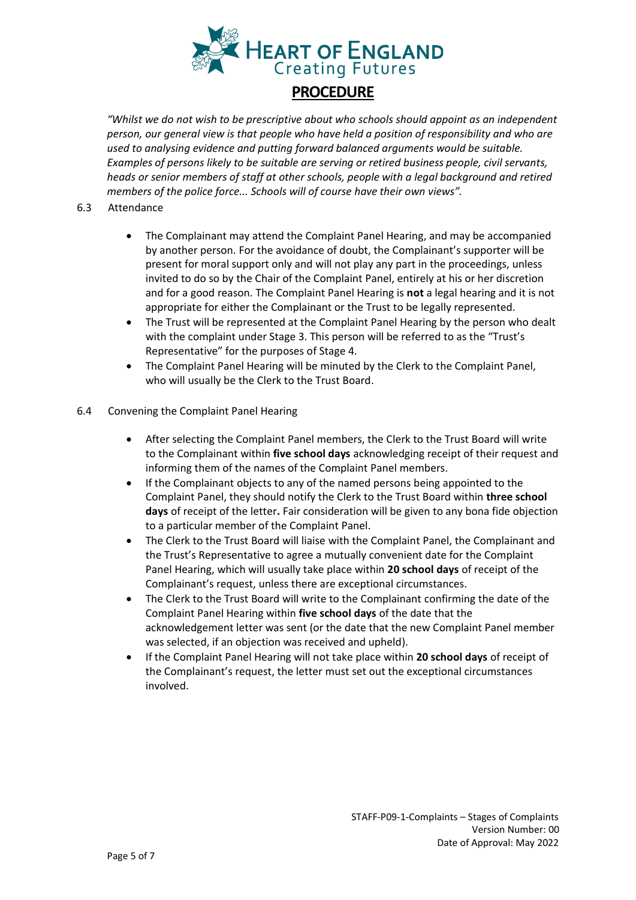

# **PROCEDURE**

*"Whilst we do not wish to be prescriptive about who schools should appoint as an independent person, our general view is that people who have held a position of responsibility and who are used to analysing evidence and putting forward balanced arguments would be suitable. Examples of persons likely to be suitable are serving or retired business people, civil servants, heads or senior members of staff at other schools, people with a legal background and retired members of the police force... Schools will of course have their own views".* 

- 6.3 Attendance
	- The Complainant may attend the Complaint Panel Hearing, and may be accompanied by another person. For the avoidance of doubt, the Complainant's supporter will be present for moral support only and will not play any part in the proceedings, unless invited to do so by the Chair of the Complaint Panel, entirely at his or her discretion and for a good reason. The Complaint Panel Hearing is **not** a legal hearing and it is not appropriate for either the Complainant or the Trust to be legally represented.
	- The Trust will be represented at the Complaint Panel Hearing by the person who dealt with the complaint under Stage 3. This person will be referred to as the "Trust's Representative" for the purposes of Stage 4.
	- The Complaint Panel Hearing will be minuted by the Clerk to the Complaint Panel, who will usually be the Clerk to the Trust Board.

## 6.4 Convening the Complaint Panel Hearing

- After selecting the Complaint Panel members, the Clerk to the Trust Board will write to the Complainant within **five school days** acknowledging receipt of their request and informing them of the names of the Complaint Panel members.
- If the Complainant objects to any of the named persons being appointed to the Complaint Panel, they should notify the Clerk to the Trust Board within **three school days** of receipt of the letter**.** Fair consideration will be given to any bona fide objection to a particular member of the Complaint Panel.
- The Clerk to the Trust Board will liaise with the Complaint Panel, the Complainant and the Trust's Representative to agree a mutually convenient date for the Complaint Panel Hearing, which will usually take place within **20 school days** of receipt of the Complainant's request, unless there are exceptional circumstances.
- The Clerk to the Trust Board will write to the Complainant confirming the date of the Complaint Panel Hearing within **five school days** of the date that the acknowledgement letter was sent (or the date that the new Complaint Panel member was selected, if an objection was received and upheld).
- If the Complaint Panel Hearing will not take place within **20 school days** of receipt of the Complainant's request, the letter must set out the exceptional circumstances involved.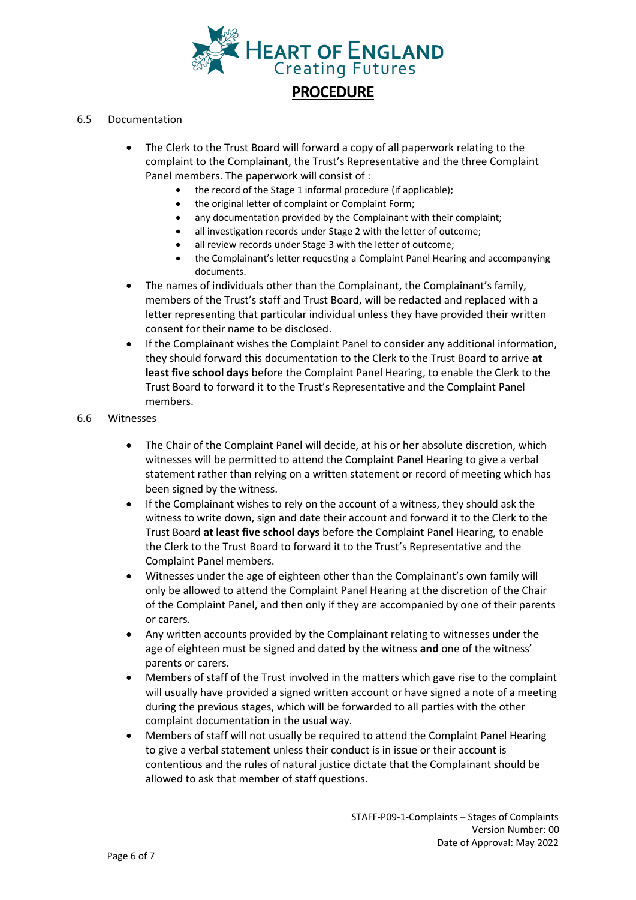

### 6.5 Documentation

- The Clerk to the Trust Board will forward a copy of all paperwork relating to the complaint to the Complainant, the Trust's Representative and the three Complaint Panel members. The paperwork will consist of :
	- the record of the Stage 1 informal procedure (if applicable);
	- the original letter of complaint or Complaint Form;
	- any documentation provided by the Complainant with their complaint;
	- all investigation records under Stage 2 with the letter of outcome;
	- all review records under Stage 3 with the letter of outcome;
	- the Complainant's letter requesting a Complaint Panel Hearing and accompanying documents.
- The names of individuals other than the Complainant, the Complainant's family, members of the Trust's staff and Trust Board, will be redacted and replaced with a letter representing that particular individual unless they have provided their written consent for their name to be disclosed.
- If the Complainant wishes the Complaint Panel to consider any additional information, they should forward this documentation to the Clerk to the Trust Board to arrive **at least five school days** before the Complaint Panel Hearing, to enable the Clerk to the Trust Board to forward it to the Trust's Representative and the Complaint Panel members.

#### 6.6 Witnesses

- The Chair of the Complaint Panel will decide, at his or her absolute discretion, which witnesses will be permitted to attend the Complaint Panel Hearing to give a verbal statement rather than relying on a written statement or record of meeting which has been signed by the witness.
- If the Complainant wishes to rely on the account of a witness, they should ask the witness to write down, sign and date their account and forward it to the Clerk to the Trust Board **at least five school days** before the Complaint Panel Hearing, to enable the Clerk to the Trust Board to forward it to the Trust's Representative and the Complaint Panel members.
- Witnesses under the age of eighteen other than the Complainant's own family will only be allowed to attend the Complaint Panel Hearing at the discretion of the Chair of the Complaint Panel, and then only if they are accompanied by one of their parents or carers.
- Any written accounts provided by the Complainant relating to witnesses under the age of eighteen must be signed and dated by the witness **and** one of the witness' parents or carers.
- Members of staff of the Trust involved in the matters which gave rise to the complaint will usually have provided a signed written account or have signed a note of a meeting during the previous stages, which will be forwarded to all parties with the other complaint documentation in the usual way.
- Members of staff will not usually be required to attend the Complaint Panel Hearing to give a verbal statement unless their conduct is in issue or their account is contentious and the rules of natural justice dictate that the Complainant should be allowed to ask that member of staff questions.